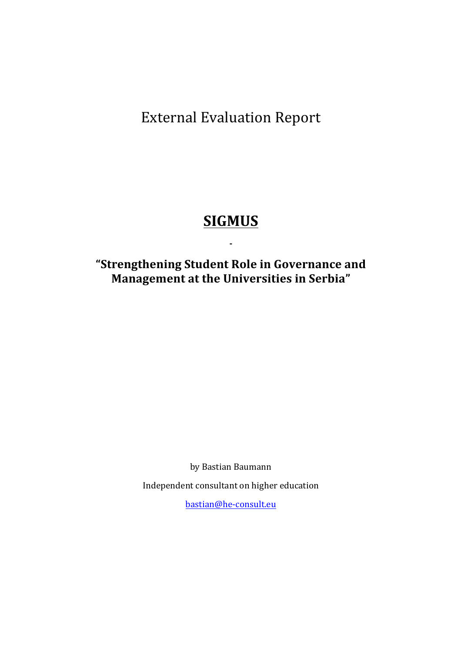**External Evaluation Report** 

# **SIGMUS**

**-**

# **"Strengthening Student Role in Governance and Management at the Universities in Serbia"**

by Bastian Baumann

Independent consultant on higher education

bastian@he-consult.eu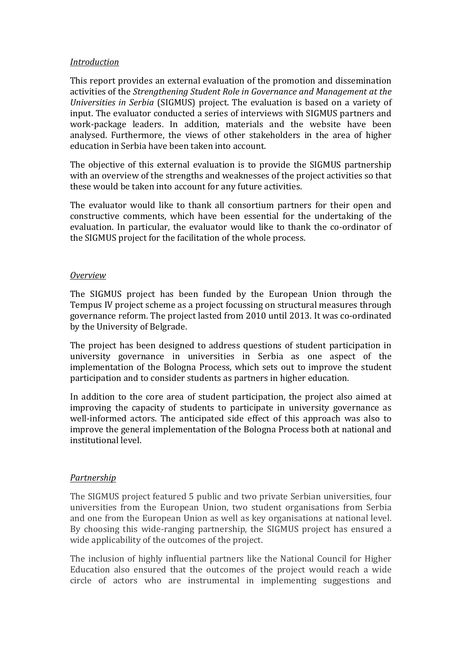## *Introduction*

This report provides an external evaluation of the promotion and dissemination activities of the *Strengthening Student Role in Governance and Management at the Universities in Serbia* (SIGMUS) project. The evaluation is based on a variety of input. The evaluator conducted a series of interviews with SIGMUS partners and work-package leaders. In addition, materials and the website have been analysed. Furthermore, the views of other stakeholders in the area of higher education in Serbia have been taken into account.

The objective of this external evaluation is to provide the SIGMUS partnership with an overview of the strengths and weaknesses of the project activities so that these would be taken into account for any future activities.

The evaluator would like to thank all consortium partners for their open and constructive comments, which have been essential for the undertaking of the evaluation. In particular, the evaluator would like to thank the co-ordinator of the SIGMUS project for the facilitation of the whole process.

#### *Overview*

The SIGMUS project has been funded by the European Union through the Tempus IV project scheme as a project focussing on structural measures through governance reform. The project lasted from 2010 until 2013. It was co-ordinated by the University of Belgrade.

The project has been designed to address questions of student participation in university governance in universities in Serbia as one aspect of the implementation of the Bologna Process, which sets out to improve the student participation and to consider students as partners in higher education.

In addition to the core area of student participation, the project also aimed at improving the capacity of students to participate in university governance as well-informed actors. The anticipated side effect of this approach was also to improve the general implementation of the Bologna Process both at national and institutional level. 

# *Partnership*

The SIGMUS project featured 5 public and two private Serbian universities, four universities from the European Union, two student organisations from Serbia and one from the European Union as well as key organisations at national level. By choosing this wide-ranging partnership, the SIGMUS project has ensured a wide applicability of the outcomes of the project.

The inclusion of highly influential partners like the National Council for Higher Education also ensured that the outcomes of the project would reach a wide circle of actors who are instrumental in implementing suggestions and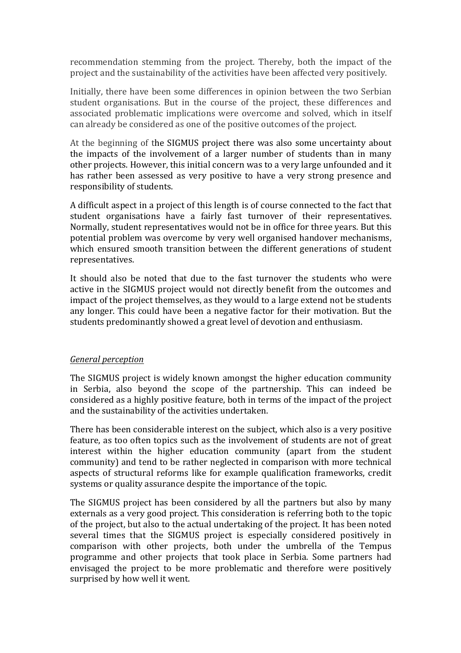recommendation stemming from the project. Thereby, both the impact of the project and the sustainability of the activities have been affected very positively.

Initially, there have been some differences in opinion between the two Serbian student organisations. But in the course of the project, these differences and associated problematic implications were overcome and solved, which in itself can already be considered as one of the positive outcomes of the project.

At the beginning of the SIGMUS project there was also some uncertainty about the impacts of the involvement of a larger number of students than in many other projects. However, this initial concern was to a very large unfounded and it has rather been assessed as very positive to have a very strong presence and responsibility of students.

A difficult aspect in a project of this length is of course connected to the fact that student organisations have a fairly fast turnover of their representatives. Normally, student representatives would not be in office for three years. But this potential problem was overcome by very well organised handover mechanisms, which ensured smooth transition between the different generations of student representatives. 

It should also be noted that due to the fast turnover the students who were active in the SIGMUS project would not directly benefit from the outcomes and impact of the project themselves, as they would to a large extend not be students any longer. This could have been a negative factor for their motivation. But the students predominantly showed a great level of devotion and enthusiasm.

#### *General perception*

The SIGMUS project is widely known amongst the higher education community in Serbia, also beyond the scope of the partnership. This can indeed be considered as a highly positive feature, both in terms of the impact of the project and the sustainability of the activities undertaken.

There has been considerable interest on the subject, which also is a very positive feature, as too often topics such as the involvement of students are not of great interest within the higher education community (apart from the student community) and tend to be rather neglected in comparison with more technical aspects of structural reforms like for example qualification frameworks, credit systems or quality assurance despite the importance of the topic.

The SIGMUS project has been considered by all the partners but also by many externals as a very good project. This consideration is referring both to the topic of the project, but also to the actual undertaking of the project. It has been noted several times that the SIGMUS project is especially considered positively in comparison with other projects, both under the umbrella of the Tempus programme and other projects that took place in Serbia. Some partners had envisaged the project to be more problematic and therefore were positively surprised by how well it went.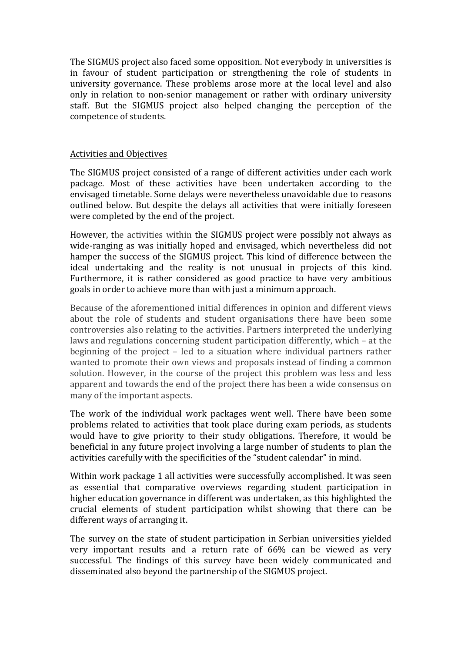The SIGMUS project also faced some opposition. Not everybody in universities is in favour of student participation or strengthening the role of students in university governance. These problems arose more at the local level and also only in relation to non-senior management or rather with ordinary university staff. But the SIGMUS project also helped changing the perception of the competence of students.

## Activities and Objectives

The SIGMUS project consisted of a range of different activities under each work package. Most of these activities have been undertaken according to the envisaged timetable. Some delays were nevertheless unavoidable due to reasons outlined below. But despite the delays all activities that were initially foreseen were completed by the end of the project.

However, the activities within the SIGMUS project were possibly not always as wide-ranging as was initially hoped and envisaged, which nevertheless did not hamper the success of the SIGMUS project. This kind of difference between the ideal undertaking and the reality is not unusual in projects of this kind. Furthermore, it is rather considered as good practice to have very ambitious goals in order to achieve more than with just a minimum approach.

Because of the aforementioned initial differences in opinion and different views about the role of students and student organisations there have been some controversies also relating to the activities. Partners interpreted the underlying laws and regulations concerning student participation differently, which – at the beginning of the project  $-$  led to a situation where individual partners rather wanted to promote their own views and proposals instead of finding a common solution. However, in the course of the project this problem was less and less apparent and towards the end of the project there has been a wide consensus on many of the important aspects.

The work of the individual work packages went well. There have been some problems related to activities that took place during exam periods, as students would have to give priority to their study obligations. Therefore, it would be beneficial in any future project involving a large number of students to plan the activities carefully with the specificities of the "student calendar" in mind.

Within work package 1 all activities were successfully accomplished. It was seen as essential that comparative overviews regarding student participation in higher education governance in different was undertaken, as this highlighted the crucial elements of student participation whilst showing that there can be different ways of arranging it.

The survey on the state of student participation in Serbian universities yielded very important results and a return rate of 66% can be viewed as very successful. The findings of this survey have been widely communicated and disseminated also beyond the partnership of the SIGMUS project.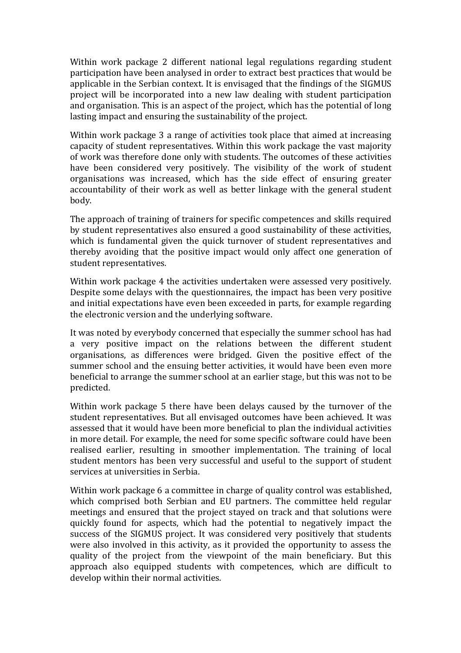Within work package 2 different national legal regulations regarding student participation have been analysed in order to extract best practices that would be applicable in the Serbian context. It is envisaged that the findings of the SIGMUS project will be incorporated into a new law dealing with student participation and organisation. This is an aspect of the project, which has the potential of long lasting impact and ensuring the sustainability of the project.

Within work package 3 a range of activities took place that aimed at increasing capacity of student representatives. Within this work package the vast majority of work was therefore done only with students. The outcomes of these activities have been considered very positively. The visibility of the work of student organisations was increased, which has the side effect of ensuring greater accountability of their work as well as better linkage with the general student body. 

The approach of training of trainers for specific competences and skills required by student representatives also ensured a good sustainability of these activities, which is fundamental given the quick turnover of student representatives and thereby avoiding that the positive impact would only affect one generation of student representatives.

Within work package 4 the activities undertaken were assessed very positively. Despite some delays with the questionnaires, the impact has been very positive and initial expectations have even been exceeded in parts, for example regarding the electronic version and the underlying software.

It was noted by everybody concerned that especially the summer school has had a very positive impact on the relations between the different student organisations, as differences were bridged. Given the positive effect of the summer school and the ensuing better activities, it would have been even more beneficial to arrange the summer school at an earlier stage, but this was not to be predicted. 

Within work package 5 there have been delays caused by the turnover of the student representatives. But all envisaged outcomes have been achieved. It was assessed that it would have been more beneficial to plan the individual activities in more detail. For example, the need for some specific software could have been realised earlier, resulting in smoother implementation. The training of local student mentors has been very successful and useful to the support of student services at universities in Serbia.

Within work package 6 a committee in charge of quality control was established, which comprised both Serbian and EU partners. The committee held regular meetings and ensured that the project stayed on track and that solutions were quickly found for aspects, which had the potential to negatively impact the success of the SIGMUS project. It was considered very positively that students were also involved in this activity, as it provided the opportunity to assess the quality of the project from the viewpoint of the main beneficiary. But this approach also equipped students with competences, which are difficult to develop within their normal activities.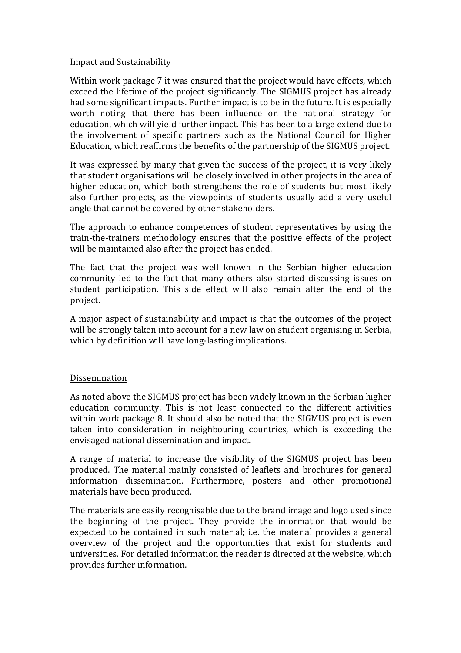## Impact and Sustainability

Within work package 7 it was ensured that the project would have effects, which exceed the lifetime of the project significantly. The SIGMUS project has already had some significant impacts. Further impact is to be in the future. It is especially worth noting that there has been influence on the national strategy for education, which will vield further impact. This has been to a large extend due to the involvement of specific partners such as the National Council for Higher Education, which reaffirms the benefits of the partnership of the SIGMUS project.

It was expressed by many that given the success of the project, it is very likely that student organisations will be closely involved in other projects in the area of higher education, which both strengthens the role of students but most likely also further projects, as the viewpoints of students usually add a very useful angle that cannot be covered by other stakeholders.

The approach to enhance competences of student representatives by using the train-the-trainers methodology ensures that the positive effects of the project will be maintained also after the project has ended.

The fact that the project was well known in the Serbian higher education community led to the fact that many others also started discussing issues on student participation. This side effect will also remain after the end of the project.

A major aspect of sustainability and impact is that the outcomes of the project will be strongly taken into account for a new law on student organising in Serbia, which by definition will have long-lasting implications.

# Dissemination

As noted above the SIGMUS project has been widely known in the Serbian higher education community. This is not least connected to the different activities within work package 8. It should also be noted that the SIGMUS project is even taken into consideration in neighbouring countries, which is exceeding the envisaged national dissemination and impact.

A range of material to increase the visibility of the SIGMUS project has been produced. The material mainly consisted of leaflets and brochures for general information dissemination. Furthermore, posters and other promotional materials have been produced.

The materials are easily recognisable due to the brand image and logo used since the beginning of the project. They provide the information that would be expected to be contained in such material; i.e. the material provides a general overview of the project and the opportunities that exist for students and universities. For detailed information the reader is directed at the website, which provides further information.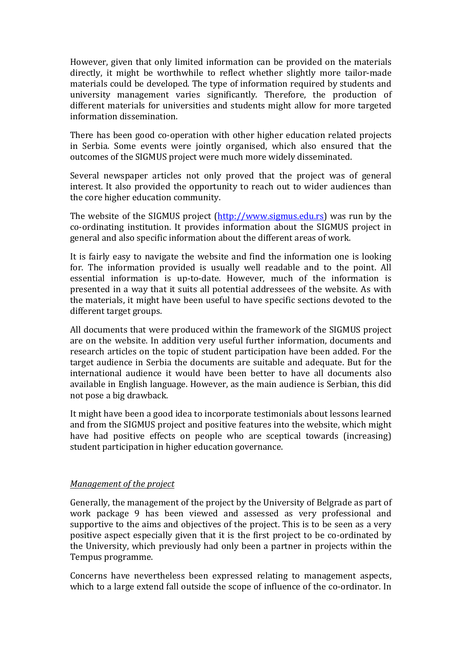However, given that only limited information can be provided on the materials directly, it might be worthwhile to reflect whether slightly more tailor-made materials could be developed. The type of information required by students and university management varies significantly. Therefore, the production of different materials for universities and students might allow for more targeted information dissemination.

There has been good co-operation with other higher education related projects in Serbia. Some events were jointly organised, which also ensured that the outcomes of the SIGMUS project were much more widely disseminated.

Several newspaper articles not only proved that the project was of general interest. It also provided the opportunity to reach out to wider audiences than the core higher education community.

The website of the SIGMUS project (http://www.sigmus.edu.rs) was run by the co-ordinating institution. It provides information about the SIGMUS project in general and also specific information about the different areas of work.

It is fairly easy to navigate the website and find the information one is looking for. The information provided is usually well readable and to the point. All essential information is up-to-date. However, much of the information is presented in a way that it suits all potential addressees of the website. As with the materials, it might have been useful to have specific sections devoted to the different target groups.

All documents that were produced within the framework of the SIGMUS project are on the website. In addition very useful further information, documents and research articles on the topic of student participation have been added. For the target audience in Serbia the documents are suitable and adequate. But for the international audience it would have been better to have all documents also available in English language. However, as the main audience is Serbian, this did not pose a big drawback.

It might have been a good idea to incorporate testimonials about lessons learned and from the SIGMUS project and positive features into the website, which might have had positive effects on people who are sceptical towards (increasing) student participation in higher education governance.

#### *Management of the project*

Generally, the management of the project by the University of Belgrade as part of work package 9 has been viewed and assessed as very professional and supportive to the aims and objectives of the project. This is to be seen as a very positive aspect especially given that it is the first project to be co-ordinated by the University, which previously had only been a partner in projects within the Tempus programme.

Concerns have nevertheless been expressed relating to management aspects, which to a large extend fall outside the scope of influence of the co-ordinator. In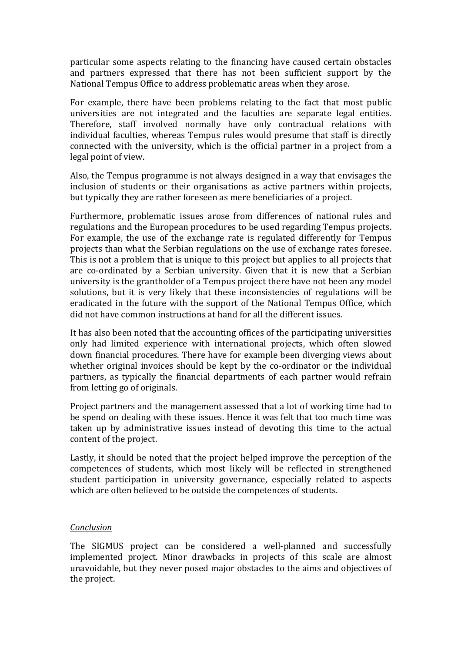particular some aspects relating to the financing have caused certain obstacles and partners expressed that there has not been sufficient support by the National Tempus Office to address problematic areas when they arose.

For example, there have been problems relating to the fact that most public universities are not integrated and the faculties are separate legal entities. Therefore, staff involved normally have only contractual relations with individual faculties, whereas Tempus rules would presume that staff is directly connected with the university, which is the official partner in a project from a legal point of view.

Also, the Tempus programme is not always designed in a way that envisages the inclusion of students or their organisations as active partners within projects, but typically they are rather foreseen as mere beneficiaries of a project.

Furthermore, problematic issues arose from differences of national rules and regulations and the European procedures to be used regarding Tempus projects. For example, the use of the exchange rate is regulated differently for Tempus projects than what the Serbian regulations on the use of exchange rates foresee. This is not a problem that is unique to this project but applies to all projects that are co-ordinated by a Serbian university. Given that it is new that a Serbian university is the grantholder of a Tempus project there have not been any model solutions, but it is very likely that these inconsistencies of regulations will be eradicated in the future with the support of the National Tempus Office, which did not have common instructions at hand for all the different issues.

It has also been noted that the accounting offices of the participating universities only had limited experience with international projects, which often slowed down financial procedures. There have for example been diverging views about whether original invoices should be kept by the co-ordinator or the individual partners, as typically the financial departments of each partner would refrain from letting go of originals.

Project partners and the management assessed that a lot of working time had to be spend on dealing with these issues. Hence it was felt that too much time was taken up by administrative issues instead of devoting this time to the actual content of the project.

Lastly, it should be noted that the project helped improve the perception of the competences of students, which most likely will be reflected in strengthened student participation in university governance, especially related to aspects which are often believed to be outside the competences of students.

#### *Conclusion*

The SIGMUS project can be considered a well-planned and successfully implemented project. Minor drawbacks in projects of this scale are almost unavoidable, but they never posed major obstacles to the aims and objectives of the project.